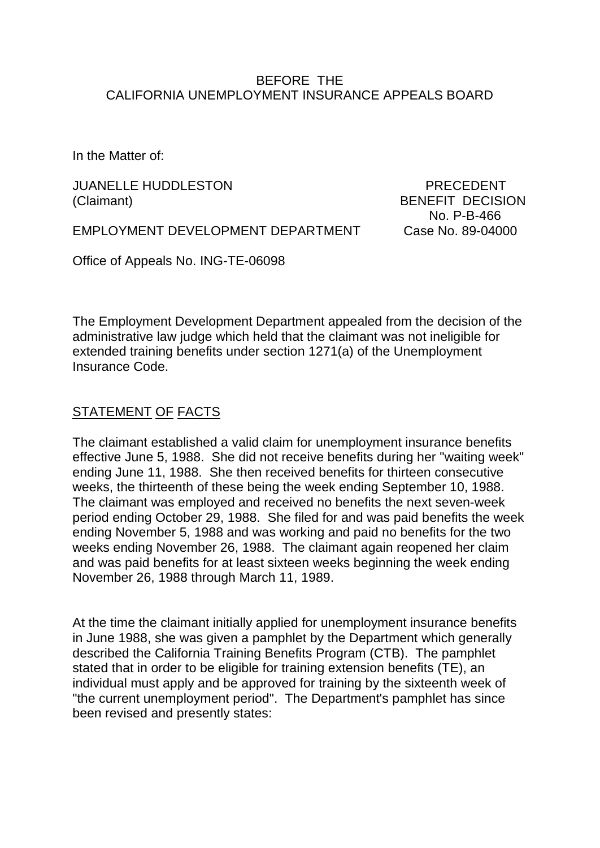### BEFORE THE CALIFORNIA UNEMPLOYMENT INSURANCE APPEALS BOARD

In the Matter of:

JUANELLE HUDDLESTON PRECEDENT (Claimant) BENEFIT DECISION

No. P-B-466

EMPLOYMENT DEVELOPMENT DEPARTMENT Case No. 89-04000

Office of Appeals No. ING-TE-06098

The Employment Development Department appealed from the decision of the administrative law judge which held that the claimant was not ineligible for extended training benefits under section 1271(a) of the Unemployment Insurance Code.

# STATEMENT OF FACTS

The claimant established a valid claim for unemployment insurance benefits effective June 5, 1988. She did not receive benefits during her "waiting week" ending June 11, 1988. She then received benefits for thirteen consecutive weeks, the thirteenth of these being the week ending September 10, 1988. The claimant was employed and received no benefits the next seven-week period ending October 29, 1988. She filed for and was paid benefits the week ending November 5, 1988 and was working and paid no benefits for the two weeks ending November 26, 1988. The claimant again reopened her claim and was paid benefits for at least sixteen weeks beginning the week ending November 26, 1988 through March 11, 1989.

At the time the claimant initially applied for unemployment insurance benefits in June 1988, she was given a pamphlet by the Department which generally described the California Training Benefits Program (CTB). The pamphlet stated that in order to be eligible for training extension benefits (TE), an individual must apply and be approved for training by the sixteenth week of "the current unemployment period". The Department's pamphlet has since been revised and presently states: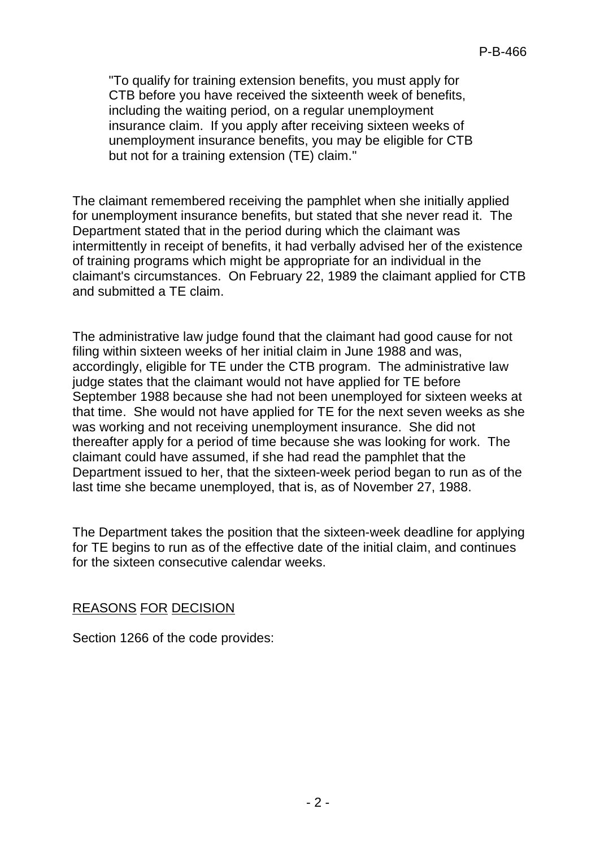"To qualify for training extension benefits, you must apply for CTB before you have received the sixteenth week of benefits, including the waiting period, on a regular unemployment insurance claim. If you apply after receiving sixteen weeks of unemployment insurance benefits, you may be eligible for CTB but not for a training extension (TE) claim."

The claimant remembered receiving the pamphlet when she initially applied for unemployment insurance benefits, but stated that she never read it. The Department stated that in the period during which the claimant was intermittently in receipt of benefits, it had verbally advised her of the existence of training programs which might be appropriate for an individual in the claimant's circumstances. On February 22, 1989 the claimant applied for CTB and submitted a TE claim.

The administrative law judge found that the claimant had good cause for not filing within sixteen weeks of her initial claim in June 1988 and was, accordingly, eligible for TE under the CTB program. The administrative law judge states that the claimant would not have applied for TE before September 1988 because she had not been unemployed for sixteen weeks at that time. She would not have applied for TE for the next seven weeks as she was working and not receiving unemployment insurance. She did not thereafter apply for a period of time because she was looking for work. The claimant could have assumed, if she had read the pamphlet that the Department issued to her, that the sixteen-week period began to run as of the last time she became unemployed, that is, as of November 27, 1988.

The Department takes the position that the sixteen-week deadline for applying for TE begins to run as of the effective date of the initial claim, and continues for the sixteen consecutive calendar weeks.

# REASONS FOR DECISION

Section 1266 of the code provides: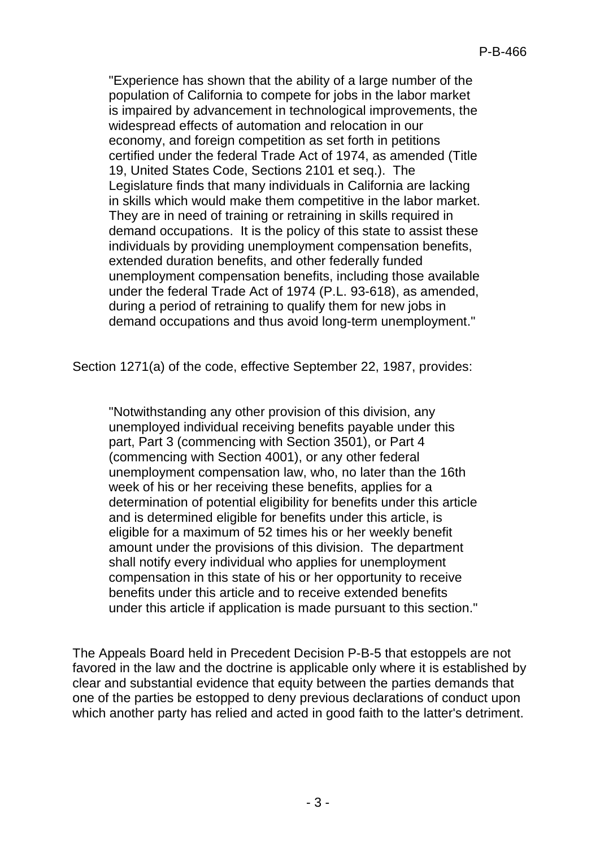"Experience has shown that the ability of a large number of the population of California to compete for jobs in the labor market is impaired by advancement in technological improvements, the widespread effects of automation and relocation in our economy, and foreign competition as set forth in petitions certified under the federal Trade Act of 1974, as amended (Title 19, United States Code, Sections 2101 et seq.). The Legislature finds that many individuals in California are lacking in skills which would make them competitive in the labor market. They are in need of training or retraining in skills required in demand occupations. It is the policy of this state to assist these individuals by providing unemployment compensation benefits, extended duration benefits, and other federally funded unemployment compensation benefits, including those available under the federal Trade Act of 1974 (P.L. 93-618), as amended, during a period of retraining to qualify them for new jobs in demand occupations and thus avoid long-term unemployment."

Section 1271(a) of the code, effective September 22, 1987, provides:

"Notwithstanding any other provision of this division, any unemployed individual receiving benefits payable under this part, Part 3 (commencing with Section 3501), or Part 4 (commencing with Section 4001), or any other federal unemployment compensation law, who, no later than the 16th week of his or her receiving these benefits, applies for a determination of potential eligibility for benefits under this article and is determined eligible for benefits under this article, is eligible for a maximum of 52 times his or her weekly benefit amount under the provisions of this division. The department shall notify every individual who applies for unemployment compensation in this state of his or her opportunity to receive benefits under this article and to receive extended benefits under this article if application is made pursuant to this section."

The Appeals Board held in Precedent Decision P-B-5 that estoppels are not favored in the law and the doctrine is applicable only where it is established by clear and substantial evidence that equity between the parties demands that one of the parties be estopped to deny previous declarations of conduct upon which another party has relied and acted in good faith to the latter's detriment.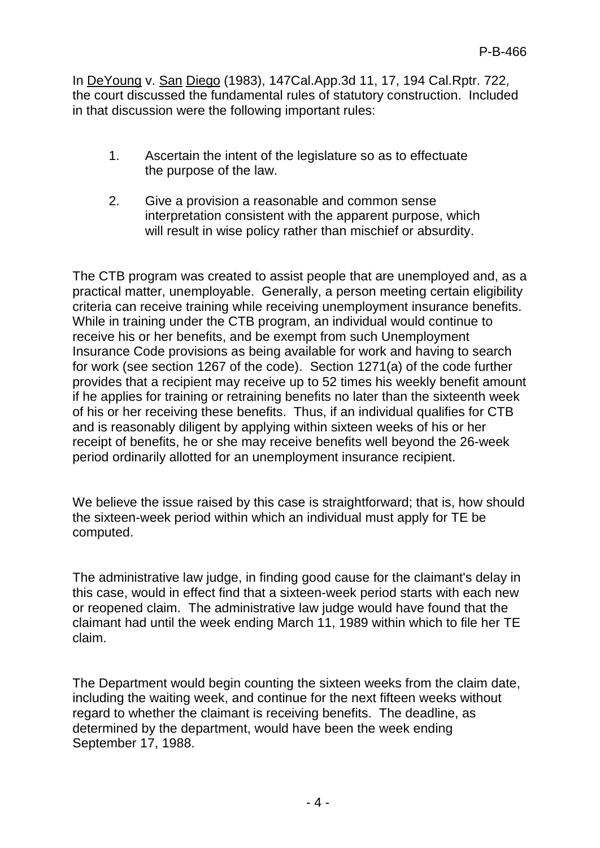In DeYoung v. San Diego (1983), 147Cal.App.3d 11, 17, 194 Cal.Rptr. 722, the court discussed the fundamental rules of statutory construction. Included in that discussion were the following important rules:

- 1. Ascertain the intent of the legislature so as to effectuate the purpose of the law.
- 2. Give a provision a reasonable and common sense interpretation consistent with the apparent purpose, which will result in wise policy rather than mischief or absurdity.

The CTB program was created to assist people that are unemployed and, as a practical matter, unemployable. Generally, a person meeting certain eligibility criteria can receive training while receiving unemployment insurance benefits. While in training under the CTB program, an individual would continue to receive his or her benefits, and be exempt from such Unemployment Insurance Code provisions as being available for work and having to search for work (see section 1267 of the code). Section 1271(a) of the code further provides that a recipient may receive up to 52 times his weekly benefit amount if he applies for training or retraining benefits no later than the sixteenth week of his or her receiving these benefits. Thus, if an individual qualifies for CTB and is reasonably diligent by applying within sixteen weeks of his or her receipt of benefits, he or she may receive benefits well beyond the 26-week period ordinarily allotted for an unemployment insurance recipient.

We believe the issue raised by this case is straightforward; that is, how should the sixteen-week period within which an individual must apply for TE be computed.

The administrative law judge, in finding good cause for the claimant's delay in this case, would in effect find that a sixteen-week period starts with each new or reopened claim. The administrative law judge would have found that the claimant had until the week ending March 11, 1989 within which to file her TE claim.

The Department would begin counting the sixteen weeks from the claim date, including the waiting week, and continue for the next fifteen weeks without regard to whether the claimant is receiving benefits. The deadline, as determined by the department, would have been the week ending September 17, 1988.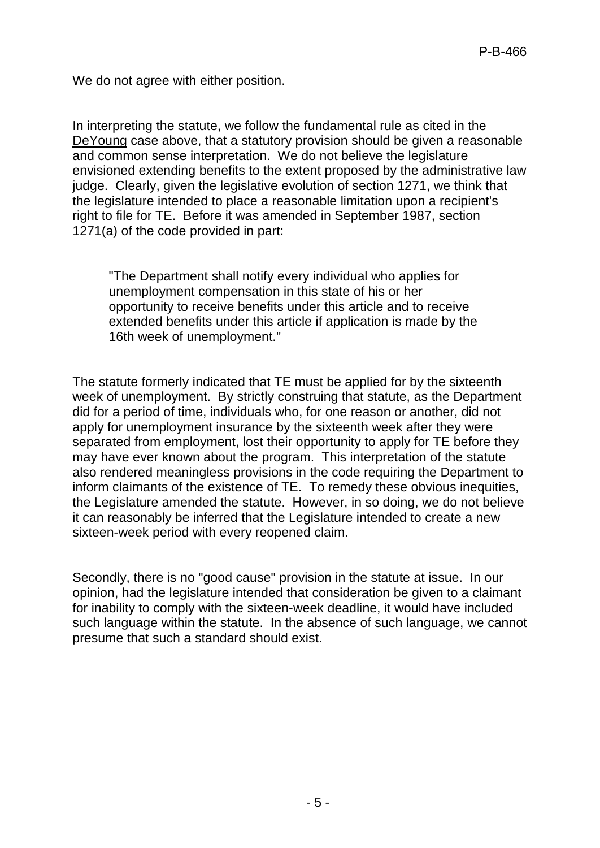We do not agree with either position.

In interpreting the statute, we follow the fundamental rule as cited in the DeYoung case above, that a statutory provision should be given a reasonable and common sense interpretation. We do not believe the legislature envisioned extending benefits to the extent proposed by the administrative law judge. Clearly, given the legislative evolution of section 1271, we think that the legislature intended to place a reasonable limitation upon a recipient's right to file for TE. Before it was amended in September 1987, section 1271(a) of the code provided in part:

"The Department shall notify every individual who applies for unemployment compensation in this state of his or her opportunity to receive benefits under this article and to receive extended benefits under this article if application is made by the 16th week of unemployment."

The statute formerly indicated that TE must be applied for by the sixteenth week of unemployment. By strictly construing that statute, as the Department did for a period of time, individuals who, for one reason or another, did not apply for unemployment insurance by the sixteenth week after they were separated from employment, lost their opportunity to apply for TE before they may have ever known about the program. This interpretation of the statute also rendered meaningless provisions in the code requiring the Department to inform claimants of the existence of TE. To remedy these obvious inequities, the Legislature amended the statute. However, in so doing, we do not believe it can reasonably be inferred that the Legislature intended to create a new sixteen-week period with every reopened claim.

Secondly, there is no "good cause" provision in the statute at issue. In our opinion, had the legislature intended that consideration be given to a claimant for inability to comply with the sixteen-week deadline, it would have included such language within the statute. In the absence of such language, we cannot presume that such a standard should exist.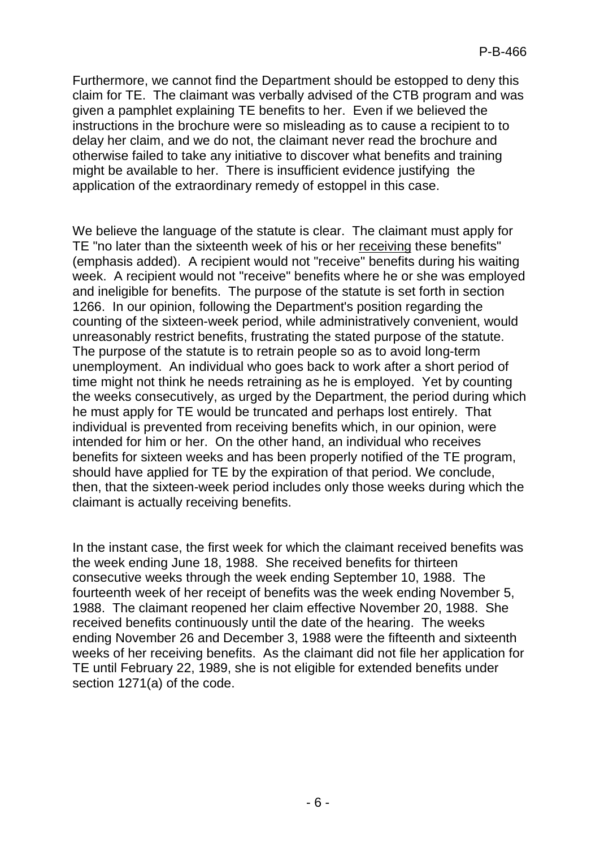Furthermore, we cannot find the Department should be estopped to deny this claim for TE. The claimant was verbally advised of the CTB program and was given a pamphlet explaining TE benefits to her. Even if we believed the instructions in the brochure were so misleading as to cause a recipient to to delay her claim, and we do not, the claimant never read the brochure and otherwise failed to take any initiative to discover what benefits and training might be available to her. There is insufficient evidence justifying the application of the extraordinary remedy of estoppel in this case.

We believe the language of the statute is clear. The claimant must apply for TE "no later than the sixteenth week of his or her receiving these benefits" (emphasis added). A recipient would not "receive" benefits during his waiting week. A recipient would not "receive" benefits where he or she was employed and ineligible for benefits. The purpose of the statute is set forth in section 1266. In our opinion, following the Department's position regarding the counting of the sixteen-week period, while administratively convenient, would unreasonably restrict benefits, frustrating the stated purpose of the statute. The purpose of the statute is to retrain people so as to avoid long-term unemployment. An individual who goes back to work after a short period of time might not think he needs retraining as he is employed. Yet by counting the weeks consecutively, as urged by the Department, the period during which he must apply for TE would be truncated and perhaps lost entirely. That individual is prevented from receiving benefits which, in our opinion, were intended for him or her. On the other hand, an individual who receives benefits for sixteen weeks and has been properly notified of the TE program, should have applied for TE by the expiration of that period. We conclude, then, that the sixteen-week period includes only those weeks during which the claimant is actually receiving benefits.

In the instant case, the first week for which the claimant received benefits was the week ending June 18, 1988. She received benefits for thirteen consecutive weeks through the week ending September 10, 1988. The fourteenth week of her receipt of benefits was the week ending November 5, 1988. The claimant reopened her claim effective November 20, 1988. She received benefits continuously until the date of the hearing. The weeks ending November 26 and December 3, 1988 were the fifteenth and sixteenth weeks of her receiving benefits. As the claimant did not file her application for TE until February 22, 1989, she is not eligible for extended benefits under section 1271(a) of the code.